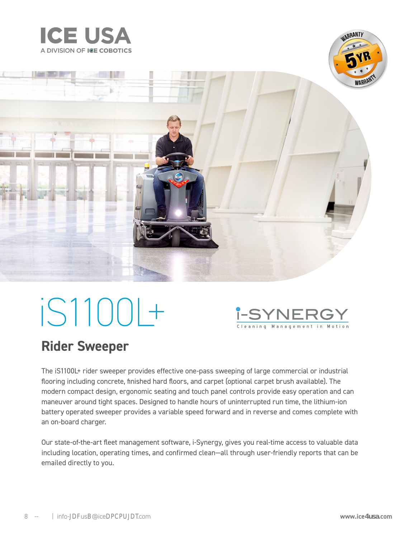





# iS1100L+



### **Rider Sweeper**

The iS1100L+ rider sweeper provides effective one-pass sweeping of large commercial or industrial flooring including concrete, finished hard floors, and carpet (optional carpet brush available). The modern compact design, ergonomic seating and touch panel controls provide easy operation and can maneuver around tight spaces. Designed to handle hours of uninterrupted run time, the lithium-ion battery operated sweeper provides a variable speed forward and in reverse and comes complete with an on-board charger.

Our state-of-the-art fleet management software, i-Synergy, gives you real-time access to valuable data including location, operating times, and confirmed clean—all through user-friendly reports that can be emailed directly to you.